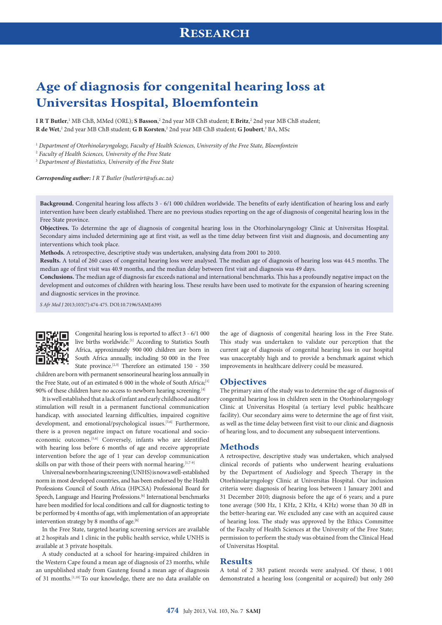## **RESEARCH**

# **Age of diagnosis for congenital hearing loss at Universitas Hospital, Bloemfontein**

**I R T Butler**, <sup>1</sup> MB ChB, MMed (ORL); **S Basson**, <sup>2</sup> 2nd year MB ChB student; **E Britz**, <sup>2</sup> 2nd year MB ChB student; **R de Wet**, <sup>2</sup> 2nd year MB ChB student; **G B Korsten**, <sup>2</sup> 2nd year MB ChB student; **G Joubert**, <sup>3</sup> BA, MSc

1  *Department of Otorhinolaryngology, Faculty of Health Sciences, University of the Free State, Bloemfontein*

2  *Faculty of Health Sciences, University of the Free State* 

3  *Department of Biostatistics, University of the Free State*

*Corresponding author: I R T Butler [\(butlerirt@ufs.ac.za\)](mailto:butlerirt@ufs.ac.za)* 

**Background.** Congenital hearing loss affects 3 - 6/1 000 children worldwide. The benefits of early identification of hearing loss and early intervention have been clearly established. There are no previous studies reporting on the age of diagnosis of congenital hearing loss in the Free State province.

**Objectives.** To determine the age of diagnosis of congenital hearing loss in the Otorhinolaryngology Clinic at Universitas Hospital. Secondary aims included determining age at first visit, as well as the time delay between first visit and diagnosis, and documenting any interventions which took place.

**Methods.** A retrospective, descriptive study was undertaken, analysing data from 2001 to 2010.

**Results.** A total of 260 cases of congenital hearing loss were analysed. The median age of diagnosis of hearing loss was 44.5 months. The median age of first visit was 40.9 months, and the median delay between first visit and diagnosis was 49 days.

**Conclusions.** The median age of diagnosis far exceeds national and international benchmarks. This has a profoundly negative impact on the development and outcomes of children with hearing loss. These results have been used to motivate for the expansion of hearing screening and diagnostic services in the province.

*S Afr Med J* 2013;103(7):474-475. DOI:10.7196/SAMJ.6395



Congenital hearing loss is reported to affect 3 - 6/1 000 live births worldwide.[1] According to Statistics South Africa, approximately 900 000 children are born in South Africa annually, including 50 000 in the Free State province.<sup>[2,3]</sup> Therefore an estimated 150 - 350

children are born with permanent sensorineural hearing loss annually in the Free State, out of an estimated 6 000 in the whole of South Africa;<sup>[1]</sup> 90% of these children have no access to newborn hearing screening.<sup>[4]</sup>

It is well established that a lack of infant and early childhood auditory stimulation will result in a permanent functional communication handicap, with associated learning difficulties, impaired cognitive development, and emotional/psychological issues.<sup>[5,6]</sup> Furthermore, there is a proven negative impact on future vocational and socioeconomic outcomes.<sup>[5,6]</sup> Conversely, infants who are identified with hearing loss before 6 months of age and receive appropriate intervention before the age of 1 year can develop communication skills on par with those of their peers with normal hearing. $[1,7-9]$ 

Universal newborn hearing screening (UNHS) is now a well-established norm in most developed countries, and has been endorsed by the Health Professions Council of South Africa (HPCSA) Professional Board for Speech, Language and Hearing Professions.<sup>[6]</sup> International benchmarks have been modified for local conditions and call for diagnostic testing to be performed by 4 months of age, with implementation of an appropriate intervention strategy by 8 months of age. $[6]$ 

In the Free State, targeted hearing screening services are available at 2 hospitals and 1 clinic in the public health service, while UNHS is available at 3 private hospitals.

A study conducted at a school for hearing-impaired children in the Western Cape found a mean age of diagnosis of 23 months, while an unpublished study from Gauteng found a mean age of diagnosis of 31 months.<sup>[1,10]</sup> To our knowledge, there are no data available on

the age of diagnosis of congenital hearing loss in the Free State. This study was undertaken to validate our perception that the current age of diagnosis of congenital hearing loss in our hospital was unacceptably high and to provide a benchmark against which improvements in healthcare delivery could be measured.

#### **Objectives**

The primary aim of the study was to determine the age of diagnosis of congenital hearing loss in children seen in the Otorhinolaryngology Clinic at Universitas Hospital (a tertiary level public healthcare facility). Our secondary aims were to determine the age of first visit, as well as the time delay between first visit to our clinic and diagnosis of hearing loss, and to document any subsequent interventions.

#### **Methods**

A retrospective, descriptive study was undertaken, which analysed clinical records of patients who underwent hearing evaluations by the Department of Audiology and Speech Therapy in the Otorhinolaryngology Clinic at Universitas Hospital. Our inclusion criteria were: diagnosis of hearing loss between 1 January 2001 and 31 December 2010; diagnosis before the age of 6 years; and a pure tone average (500 Hz, 1 KHz, 2 KHz, 4 KHz) worse than 30 dB in the better-hearing ear. We excluded any case with an acquired cause of hearing loss. The study was approved by the Ethics Committee of the Faculty of Health Sciences at the University of the Free State; permission to perform the study was obtained from the Clinical Head of Universitas Hospital.

#### **Results**

A total of 2 383 patient records were analysed. Of these, 1 001 demonstrated a hearing loss (congenital or acquired) but only 260